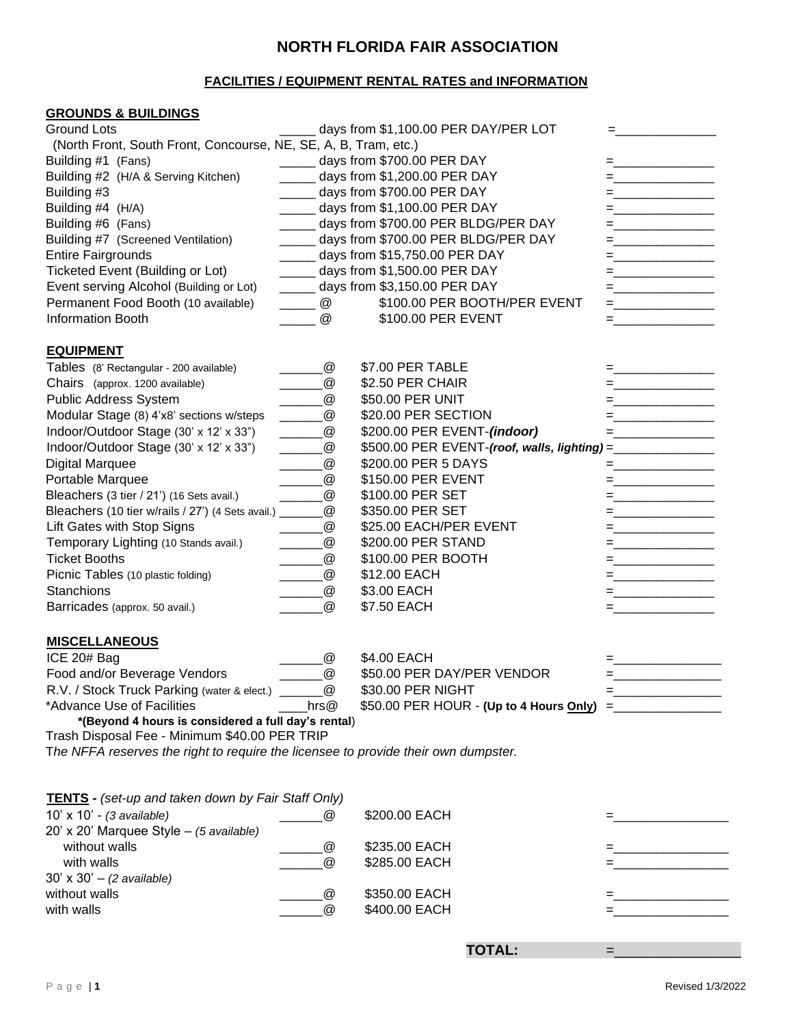# **NORTH FLORIDA FAIR ASSOCIATION**

# **FACILITIES / EQUIPMENT RENTAL RATES and INFORMATION**

## **GROUNDS & BUILDINGS**

| <b>Ground Lots</b>                                                                 |                                                                                                                                                                                                                                                                                                                                                | days from \$1,100.00 PER DAY/PER LOT                          | 그는 어떻게 하는 것이 없었다.                                                                                                                                                                                                                                                                                                                                                                                                                                                                                                               |
|------------------------------------------------------------------------------------|------------------------------------------------------------------------------------------------------------------------------------------------------------------------------------------------------------------------------------------------------------------------------------------------------------------------------------------------|---------------------------------------------------------------|---------------------------------------------------------------------------------------------------------------------------------------------------------------------------------------------------------------------------------------------------------------------------------------------------------------------------------------------------------------------------------------------------------------------------------------------------------------------------------------------------------------------------------|
| (North Front, South Front, Concourse, NE, SE, A, B, Tram, etc.)                    |                                                                                                                                                                                                                                                                                                                                                |                                                               |                                                                                                                                                                                                                                                                                                                                                                                                                                                                                                                                 |
| Building #1 (Fans)                                                                 |                                                                                                                                                                                                                                                                                                                                                | _____ days from \$700.00 PER DAY                              |                                                                                                                                                                                                                                                                                                                                                                                                                                                                                                                                 |
| Building #2 (H/A & Serving Kitchen)                                                |                                                                                                                                                                                                                                                                                                                                                | ______ days from \$1,200.00 PER DAY                           | =__________________                                                                                                                                                                                                                                                                                                                                                                                                                                                                                                             |
| Building #3                                                                        |                                                                                                                                                                                                                                                                                                                                                | days from \$700.00 PER DAY                                    | $=\underbrace{\qquad \qquad }_{\qquad \qquad }\qquad \qquad ~~\qquad \qquad ~~\qquad \qquad ~~\qquad \qquad ~~\qquad \qquad ~~\qquad \qquad ~~\qquad \qquad ~~\qquad \qquad ~~\qquad \qquad ~~\qquad \qquad ~~\qquad \qquad ~~\qquad \qquad ~~\qquad \qquad ~~\qquad \qquad ~~\qquad \qquad ~~\qquad \qquad ~~\qquad \qquad ~~\qquad \qquad ~~\qquad \qquad ~~\qquad \qquad ~~\qquad \qquad ~~\qquad \qquad ~~\qquad \qquad ~~\qquad \qquad ~~\qquad \qquad ~~\qquad \qquad ~~\qquad \qquad ~~\qquad \qquad ~~\qquad \qquad ~~$ |
| Building #4 (H/A)                                                                  | _____ days from \$1,100.00 PER DAY                                                                                                                                                                                                                                                                                                             |                                                               | =_________________                                                                                                                                                                                                                                                                                                                                                                                                                                                                                                              |
| Building #6 (Fans)                                                                 | days from \$700.00 PER BLDG/PER DAY                                                                                                                                                                                                                                                                                                            |                                                               |                                                                                                                                                                                                                                                                                                                                                                                                                                                                                                                                 |
| Building #7 (Screened Ventilation)                                                 | days from \$700.00 PER BLDG/PER DAY                                                                                                                                                                                                                                                                                                            |                                                               | =___________________                                                                                                                                                                                                                                                                                                                                                                                                                                                                                                            |
| <b>Entire Fairgrounds</b>                                                          | _____ days from \$15,750.00 PER DAY                                                                                                                                                                                                                                                                                                            |                                                               | =________________                                                                                                                                                                                                                                                                                                                                                                                                                                                                                                               |
| Ticketed Event (Building or Lot)                                                   | days from \$1,500.00 PER DAY                                                                                                                                                                                                                                                                                                                   |                                                               |                                                                                                                                                                                                                                                                                                                                                                                                                                                                                                                                 |
| Event serving Alcohol (Building or Lot)                                            |                                                                                                                                                                                                                                                                                                                                                | _____ days from \$3,150.00 PER DAY                            |                                                                                                                                                                                                                                                                                                                                                                                                                                                                                                                                 |
| Permanent Food Booth (10 available)                                                |                                                                                                                                                                                                                                                                                                                                                | \$100.00 PER BOOTH/PER EVENT                                  | =________________                                                                                                                                                                                                                                                                                                                                                                                                                                                                                                               |
| Information Booth                                                                  | $\_\_$                                                                                                                                                                                                                                                                                                                                         |                                                               |                                                                                                                                                                                                                                                                                                                                                                                                                                                                                                                                 |
|                                                                                    | @<br>$\overline{\phantom{a}}$                                                                                                                                                                                                                                                                                                                  | \$100.00 PER EVENT                                            | <u> =___________________</u>                                                                                                                                                                                                                                                                                                                                                                                                                                                                                                    |
| <b>EQUIPMENT</b>                                                                   |                                                                                                                                                                                                                                                                                                                                                |                                                               |                                                                                                                                                                                                                                                                                                                                                                                                                                                                                                                                 |
| Tables (8' Rectangular - 200 available)                                            | $\qquad \qquad \Box$                                                                                                                                                                                                                                                                                                                           | \$7.00 PER TABLE                                              | <u> - _ _ _ _ _ _ _ _ _ _ _ _ _</u>                                                                                                                                                                                                                                                                                                                                                                                                                                                                                             |
| Chairs (approx. 1200 available)                                                    | $\overline{\phantom{a}}$ $\overline{\phantom{a}}$ $\overline{\phantom{a}}$                                                                                                                                                                                                                                                                     | \$2.50 PER CHAIR                                              |                                                                                                                                                                                                                                                                                                                                                                                                                                                                                                                                 |
| Public Address System                                                              | $\rule{1em}{0.15mm}$                                                                                                                                                                                                                                                                                                                           | \$50.00 PER UNIT                                              | $= \underbrace{\qquad \qquad }_{\hspace{15pt} \hspace{15pt} \hspace{15pt} \hspace{15pt} \hspace{15pt} \hspace{15pt} \hspace{15pt} \hspace{15pt} \hspace{15pt} \hspace{15pt} \hspace{15pt} \hspace{15pt} \hspace{15pt} \hspace{15pt} \hspace{15pt} \hspace{15pt} \hspace{15pt} \hspace{15pt} \hspace{15pt} \hspace{15pt} \hspace{15pt} \hspace{15pt} \hspace{15pt} \hspace{15pt} \hspace{15pt} \hspace{15pt}$                                                                                                                    |
| Modular Stage (8) 4'x8' sections w/steps                                           | $\rule{1em}{0.15mm}$ $\omega$                                                                                                                                                                                                                                                                                                                  | \$20.00 PER SECTION                                           |                                                                                                                                                                                                                                                                                                                                                                                                                                                                                                                                 |
| Indoor/Outdoor Stage (30' x 12' x 33")                                             | $\qquad \qquad \Box$                                                                                                                                                                                                                                                                                                                           | \$200.00 PER EVENT-(indoor)                                   |                                                                                                                                                                                                                                                                                                                                                                                                                                                                                                                                 |
| Indoor/Outdoor Stage (30' x 12' x 33")                                             | $\rule{1em}{0.15mm}$                                                                                                                                                                                                                                                                                                                           | \$500.00 PER EVENT-(roof, walls, lighting) = ________________ |                                                                                                                                                                                                                                                                                                                                                                                                                                                                                                                                 |
| <b>Digital Marquee</b>                                                             | @                                                                                                                                                                                                                                                                                                                                              | \$200.00 PER 5 DAYS                                           |                                                                                                                                                                                                                                                                                                                                                                                                                                                                                                                                 |
| Portable Marquee                                                                   | $\rule{1em}{0.15mm} \put(0,0){\line(1,0){1}} \put(1.5,0){\line(1,0){1}} \put(1.5,0){\line(1,0){1}} \put(1.5,0){\line(1,0){1}} \put(1.5,0){\line(1,0){1}} \put(1.5,0){\line(1,0){1}} \put(1.5,0){\line(1,0){1}} \put(1.5,0){\line(1,0){1}} \put(1.5,0){\line(1,0){1}} \put(1.5,0){\line(1,0){1}} \put(1.5,0){\line(1,0){1}} \put(1.5,0){\line($ | \$150.00 PER EVENT                                            | =_____________________                                                                                                                                                                                                                                                                                                                                                                                                                                                                                                          |
| Bleachers (3 tier / 21') (16 Sets avail.)                                          | $\frac{1}{2}$<br>$^\text{\textregistered}$                                                                                                                                                                                                                                                                                                     | \$100.00 PER SET                                              | $=\underbrace{\qquad \qquad }_{\qquad \qquad \qquad }\qquad \qquad ~~\qquad \qquad ~~\qquad \qquad ~~\qquad \qquad ~~\qquad \qquad ~~\qquad \qquad ~~\qquad \qquad ~~\qquad \qquad ~~\qquad \qquad ~~\qquad \qquad ~~\qquad \qquad ~~\qquad \qquad ~~\qquad \qquad ~~\qquad \qquad ~~\qquad \qquad ~~\qquad \qquad ~~\qquad \qquad ~~\qquad \qquad ~~\qquad \qquad ~~\qquad \qquad ~~\qquad \qquad ~~\qquad \qquad ~~\qquad \qquad ~~\qquad \qquad ~~\qquad \qquad ~~\qquad \qquad ~~\qquad \qquad ~~\qquad \qquad ~~\qquad \$  |
| Bleachers (10 tier w/rails / 27') (4 Sets avail.) ________@                        |                                                                                                                                                                                                                                                                                                                                                | \$350.00 PER SET                                              |                                                                                                                                                                                                                                                                                                                                                                                                                                                                                                                                 |
|                                                                                    |                                                                                                                                                                                                                                                                                                                                                |                                                               |                                                                                                                                                                                                                                                                                                                                                                                                                                                                                                                                 |
| Lift Gates with Stop Signs                                                         | @                                                                                                                                                                                                                                                                                                                                              | \$25.00 EACH/PER EVENT                                        | $=\underbrace{\qquad \qquad }_{\qquad \qquad \qquad }\qquad \qquad ~~\qquad \qquad ~~\qquad \qquad ~~\qquad \qquad ~~\qquad \qquad ~~\qquad \qquad ~~\qquad \qquad ~~\qquad \qquad ~~\qquad \qquad ~~\qquad \qquad ~~\qquad \qquad ~~\qquad \qquad ~~\qquad \qquad ~~\qquad \qquad ~~\qquad \qquad ~~\qquad \qquad ~~\qquad \qquad ~~\qquad \qquad ~~\qquad \qquad ~~\qquad \qquad ~~\qquad \qquad ~~\qquad \qquad ~~\qquad \qquad ~~\qquad \qquad ~~\qquad \qquad ~~\qquad \qquad ~~\qquad \qquad ~~\qquad \qquad ~~\qquad \$  |
| Temporary Lighting (10 Stands avail.)                                              | @                                                                                                                                                                                                                                                                                                                                              | \$200.00 PER STAND                                            |                                                                                                                                                                                                                                                                                                                                                                                                                                                                                                                                 |
| <b>Ticket Booths</b>                                                               | $^\text{\textregistered}$                                                                                                                                                                                                                                                                                                                      | \$100.00 PER BOOTH                                            |                                                                                                                                                                                                                                                                                                                                                                                                                                                                                                                                 |
| Picnic Tables (10 plastic folding)                                                 | $^\text{\textregistered}$                                                                                                                                                                                                                                                                                                                      | \$12.00 EACH                                                  | =________________                                                                                                                                                                                                                                                                                                                                                                                                                                                                                                               |
| Stanchions                                                                         | @                                                                                                                                                                                                                                                                                                                                              | \$3.00 EACH                                                   |                                                                                                                                                                                                                                                                                                                                                                                                                                                                                                                                 |
| Barricades (approx. 50 avail.)                                                     | @                                                                                                                                                                                                                                                                                                                                              | \$7.50 EACH                                                   |                                                                                                                                                                                                                                                                                                                                                                                                                                                                                                                                 |
| <b>MISCELLANEOUS</b>                                                               |                                                                                                                                                                                                                                                                                                                                                |                                                               |                                                                                                                                                                                                                                                                                                                                                                                                                                                                                                                                 |
| ICE 20# Bag                                                                        | $\overline{\phantom{a}}$ $\overline{\phantom{a}}$ $\overline{\phantom{a}}$                                                                                                                                                                                                                                                                     | \$4.00 EACH                                                   |                                                                                                                                                                                                                                                                                                                                                                                                                                                                                                                                 |
| Food and/or Beverage Vendors                                                       | $\circledcirc$                                                                                                                                                                                                                                                                                                                                 | \$50.00 PER DAY/PER VENDOR                                    |                                                                                                                                                                                                                                                                                                                                                                                                                                                                                                                                 |
| R.V. / Stock Truck Parking (water & elect.) ________@                              |                                                                                                                                                                                                                                                                                                                                                | \$30.00 PER NIGHT                                             |                                                                                                                                                                                                                                                                                                                                                                                                                                                                                                                                 |
| *Advance Use of Facilities ___________hrs@                                         |                                                                                                                                                                                                                                                                                                                                                | \$50.00 PER HOUR - (Up to 4 Hours <u>Only</u> ) =__________   |                                                                                                                                                                                                                                                                                                                                                                                                                                                                                                                                 |
| *(Beyond 4 hours is considered a full day's rental)                                |                                                                                                                                                                                                                                                                                                                                                |                                                               |                                                                                                                                                                                                                                                                                                                                                                                                                                                                                                                                 |
| Trash Disposal Fee - Minimum \$40.00 PER TRIP                                      |                                                                                                                                                                                                                                                                                                                                                |                                                               |                                                                                                                                                                                                                                                                                                                                                                                                                                                                                                                                 |
| The NFFA reserves the right to require the licensee to provide their own dumpster. |                                                                                                                                                                                                                                                                                                                                                |                                                               |                                                                                                                                                                                                                                                                                                                                                                                                                                                                                                                                 |
|                                                                                    |                                                                                                                                                                                                                                                                                                                                                |                                                               |                                                                                                                                                                                                                                                                                                                                                                                                                                                                                                                                 |
| TENTS - (set-up and taken down by Fair Staff Only)                                 |                                                                                                                                                                                                                                                                                                                                                |                                                               |                                                                                                                                                                                                                                                                                                                                                                                                                                                                                                                                 |
| 10' x 10' - (3 available)                                                          | $^{\circledR}$                                                                                                                                                                                                                                                                                                                                 | \$200.00 EACH                                                 |                                                                                                                                                                                                                                                                                                                                                                                                                                                                                                                                 |
| 20' x 20' Marquee Style - (5 available)                                            |                                                                                                                                                                                                                                                                                                                                                |                                                               |                                                                                                                                                                                                                                                                                                                                                                                                                                                                                                                                 |
| without walls                                                                      | @                                                                                                                                                                                                                                                                                                                                              | \$235.00 EACH                                                 |                                                                                                                                                                                                                                                                                                                                                                                                                                                                                                                                 |
| with walls                                                                         | @                                                                                                                                                                                                                                                                                                                                              | \$285.00 EACH                                                 | the control of the control of the control of                                                                                                                                                                                                                                                                                                                                                                                                                                                                                    |
| $30' \times 30' - (2 available)$                                                   |                                                                                                                                                                                                                                                                                                                                                |                                                               |                                                                                                                                                                                                                                                                                                                                                                                                                                                                                                                                 |
| without walls                                                                      | @                                                                                                                                                                                                                                                                                                                                              | \$350.00 EACH                                                 |                                                                                                                                                                                                                                                                                                                                                                                                                                                                                                                                 |
| with walls                                                                         | $^{\circledR}$                                                                                                                                                                                                                                                                                                                                 | \$400.00 EACH                                                 | the control of the control of the control of                                                                                                                                                                                                                                                                                                                                                                                                                                                                                    |
|                                                                                    |                                                                                                                                                                                                                                                                                                                                                |                                                               |                                                                                                                                                                                                                                                                                                                                                                                                                                                                                                                                 |
|                                                                                    |                                                                                                                                                                                                                                                                                                                                                | <b>TOTAL:</b>                                                 |                                                                                                                                                                                                                                                                                                                                                                                                                                                                                                                                 |